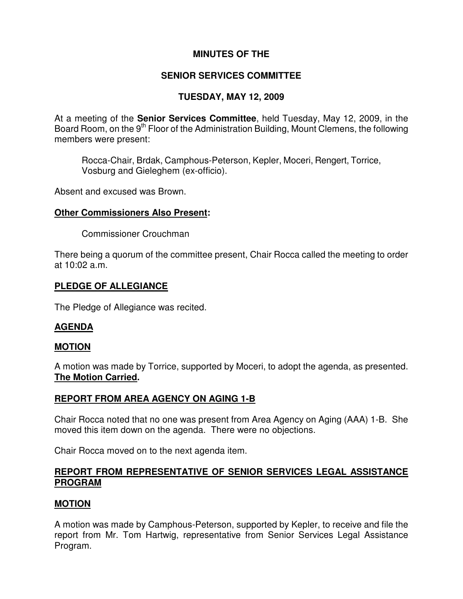# **MINUTES OF THE**

### **SENIOR SERVICES COMMITTEE**

# **TUESDAY, MAY 12, 2009**

At a meeting of the **Senior Services Committee**, held Tuesday, May 12, 2009, in the Board Room, on the 9<sup>th</sup> Floor of the Administration Building, Mount Clemens, the following members were present:

Rocca-Chair, Brdak, Camphous-Peterson, Kepler, Moceri, Rengert, Torrice, Vosburg and Gieleghem (ex-officio).

Absent and excused was Brown.

#### **Other Commissioners Also Present:**

Commissioner Crouchman

There being a quorum of the committee present, Chair Rocca called the meeting to order at 10:02 a.m.

### **PLEDGE OF ALLEGIANCE**

The Pledge of Allegiance was recited.

### **AGENDA**

### **MOTION**

A motion was made by Torrice, supported by Moceri, to adopt the agenda, as presented. **The Motion Carried.** 

### **REPORT FROM AREA AGENCY ON AGING 1-B**

Chair Rocca noted that no one was present from Area Agency on Aging (AAA) 1-B. She moved this item down on the agenda. There were no objections.

Chair Rocca moved on to the next agenda item.

### **REPORT FROM REPRESENTATIVE OF SENIOR SERVICES LEGAL ASSISTANCE PROGRAM**

### **MOTION**

A motion was made by Camphous-Peterson, supported by Kepler, to receive and file the report from Mr. Tom Hartwig, representative from Senior Services Legal Assistance Program.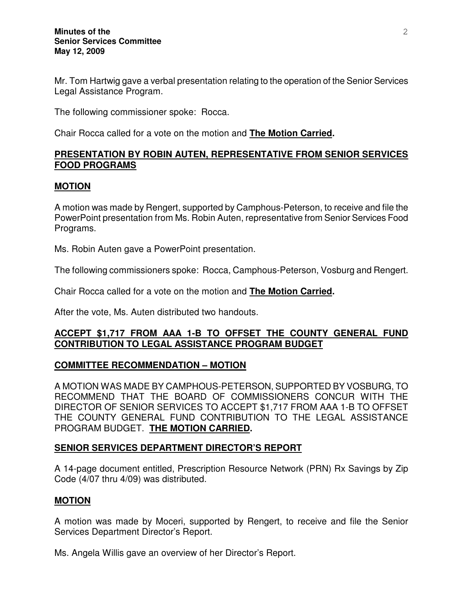Mr. Tom Hartwig gave a verbal presentation relating to the operation of the Senior Services Legal Assistance Program.

The following commissioner spoke: Rocca.

Chair Rocca called for a vote on the motion and **The Motion Carried.** 

# **PRESENTATION BY ROBIN AUTEN, REPRESENTATIVE FROM SENIOR SERVICES FOOD PROGRAMS**

### **MOTION**

A motion was made by Rengert, supported by Camphous-Peterson, to receive and file the PowerPoint presentation from Ms. Robin Auten, representative from Senior Services Food Programs.

Ms. Robin Auten gave a PowerPoint presentation.

The following commissioners spoke: Rocca, Camphous-Peterson, Vosburg and Rengert.

Chair Rocca called for a vote on the motion and **The Motion Carried.** 

After the vote, Ms. Auten distributed two handouts.

# **ACCEPT \$1,717 FROM AAA 1-B TO OFFSET THE COUNTY GENERAL FUND CONTRIBUTION TO LEGAL ASSISTANCE PROGRAM BUDGET**

# **COMMITTEE RECOMMENDATION – MOTION**

A MOTION WAS MADE BY CAMPHOUS-PETERSON, SUPPORTED BY VOSBURG, TO RECOMMEND THAT THE BOARD OF COMMISSIONERS CONCUR WITH THE DIRECTOR OF SENIOR SERVICES TO ACCEPT \$1,717 FROM AAA 1-B TO OFFSET THE COUNTY GENERAL FUND CONTRIBUTION TO THE LEGAL ASSISTANCE PROGRAM BUDGET. **THE MOTION CARRIED.** 

# **SENIOR SERVICES DEPARTMENT DIRECTOR'S REPORT**

A 14-page document entitled, Prescription Resource Network (PRN) Rx Savings by Zip Code (4/07 thru 4/09) was distributed.

### **MOTION**

A motion was made by Moceri, supported by Rengert, to receive and file the Senior Services Department Director's Report.

Ms. Angela Willis gave an overview of her Director's Report.